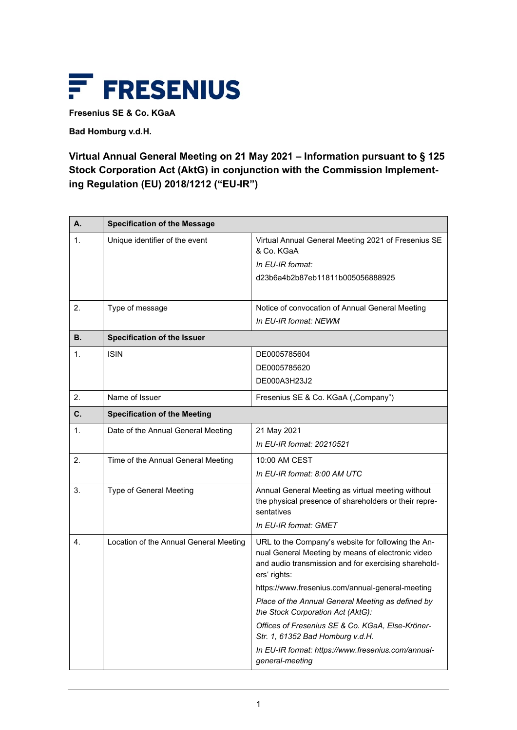

**Fresenius SE & Co. KGaA**

**Bad Homburg v.d.H.**

## **Virtual Annual General Meeting on 21 May 2021 – Information pursuant to § 125 Stock Corporation Act (AktG) in conjunction with the Commission Implementing Regulation (EU) 2018/1212 ("EU-IR")**

| А.             | <b>Specification of the Message</b>    |                                                                                                                                                                                 |
|----------------|----------------------------------------|---------------------------------------------------------------------------------------------------------------------------------------------------------------------------------|
| 1 <sub>1</sub> | Unique identifier of the event         | Virtual Annual General Meeting 2021 of Fresenius SE<br>& Co. KGaA                                                                                                               |
|                |                                        | In EU-IR format:                                                                                                                                                                |
|                |                                        | d23b6a4b2b87eb11811b005056888925                                                                                                                                                |
|                |                                        |                                                                                                                                                                                 |
| 2.             | Type of message                        | Notice of convocation of Annual General Meeting                                                                                                                                 |
|                |                                        | In EU-IR format: NEWM                                                                                                                                                           |
| В.             | <b>Specification of the Issuer</b>     |                                                                                                                                                                                 |
| 1.             | <b>ISIN</b>                            | DE0005785604                                                                                                                                                                    |
|                |                                        | DE0005785620                                                                                                                                                                    |
|                |                                        | DE000A3H23J2                                                                                                                                                                    |
| 2.             | Name of Issuer                         | Fresenius SE & Co. KGaA ("Company")                                                                                                                                             |
| C.             | <b>Specification of the Meeting</b>    |                                                                                                                                                                                 |
| 1.             | Date of the Annual General Meeting     | 21 May 2021                                                                                                                                                                     |
|                |                                        | In EU-IR format: 20210521                                                                                                                                                       |
| 2.             | Time of the Annual General Meeting     | 10:00 AM CEST                                                                                                                                                                   |
|                |                                        | In EU-IR format: 8:00 AM UTC                                                                                                                                                    |
| 3.             | Type of General Meeting                | Annual General Meeting as virtual meeting without<br>the physical presence of shareholders or their repre-<br>sentatives                                                        |
|                |                                        | In EU-IR format: GMET                                                                                                                                                           |
| 4.             | Location of the Annual General Meeting | URL to the Company's website for following the An-<br>nual General Meeting by means of electronic video<br>and audio transmission and for exercising sharehold-<br>ers' rights: |
|                |                                        | https://www.fresenius.com/annual-general-meeting                                                                                                                                |
|                |                                        | Place of the Annual General Meeting as defined by<br>the Stock Corporation Act (AktG):                                                                                          |
|                |                                        | Offices of Fresenius SE & Co. KGaA, Else-Kröner-<br>Str. 1, 61352 Bad Homburg v.d.H.                                                                                            |
|                |                                        | In EU-IR format: https://www.fresenius.com/annual-<br>general-meeting                                                                                                           |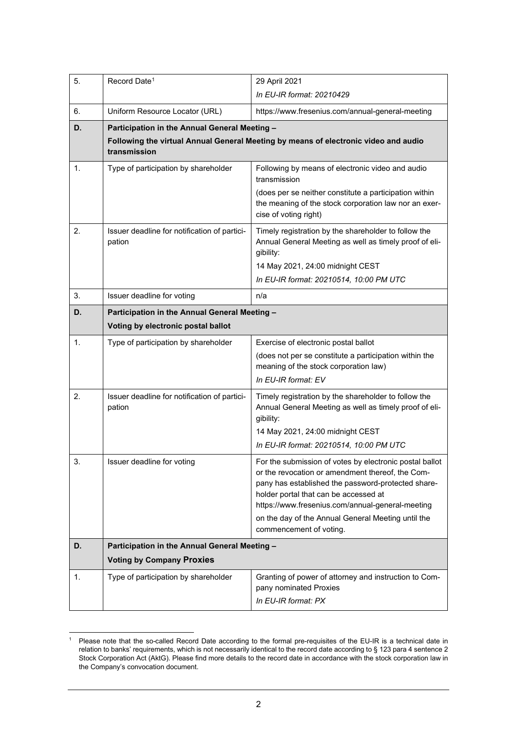| 5. | Record Date <sup>1</sup>                                                                            | 29 April 2021                                                                                                                                                                                                                                                                                                                                   |  |
|----|-----------------------------------------------------------------------------------------------------|-------------------------------------------------------------------------------------------------------------------------------------------------------------------------------------------------------------------------------------------------------------------------------------------------------------------------------------------------|--|
|    |                                                                                                     | In EU-IR format: 20210429                                                                                                                                                                                                                                                                                                                       |  |
| 6. | Uniform Resource Locator (URL)                                                                      | https://www.fresenius.com/annual-general-meeting                                                                                                                                                                                                                                                                                                |  |
| D. | Participation in the Annual General Meeting -                                                       |                                                                                                                                                                                                                                                                                                                                                 |  |
|    | Following the virtual Annual General Meeting by means of electronic video and audio<br>transmission |                                                                                                                                                                                                                                                                                                                                                 |  |
| 1. | Type of participation by shareholder                                                                | Following by means of electronic video and audio<br>transmission                                                                                                                                                                                                                                                                                |  |
|    |                                                                                                     | (does per se neither constitute a participation within<br>the meaning of the stock corporation law nor an exer-<br>cise of voting right)                                                                                                                                                                                                        |  |
| 2. | Issuer deadline for notification of partici-<br>pation                                              | Timely registration by the shareholder to follow the<br>Annual General Meeting as well as timely proof of eli-<br>gibility:<br>14 May 2021, 24:00 midnight CEST<br>In EU-IR format: 20210514, 10:00 PM UTC                                                                                                                                      |  |
| 3. | Issuer deadline for voting                                                                          | n/a                                                                                                                                                                                                                                                                                                                                             |  |
| D. | Participation in the Annual General Meeting -                                                       |                                                                                                                                                                                                                                                                                                                                                 |  |
|    | Voting by electronic postal ballot                                                                  |                                                                                                                                                                                                                                                                                                                                                 |  |
| 1. | Type of participation by shareholder                                                                | Exercise of electronic postal ballot                                                                                                                                                                                                                                                                                                            |  |
|    |                                                                                                     | (does not per se constitute a participation within the<br>meaning of the stock corporation law)                                                                                                                                                                                                                                                 |  |
|    |                                                                                                     | In EU-IR format: EV                                                                                                                                                                                                                                                                                                                             |  |
| 2. | Issuer deadline for notification of partici-<br>pation                                              | Timely registration by the shareholder to follow the<br>Annual General Meeting as well as timely proof of eli-<br>gibility:                                                                                                                                                                                                                     |  |
|    |                                                                                                     | 14 May 2021, 24:00 midnight CEST<br>In EU-IR format: 20210514, 10:00 PM UTC                                                                                                                                                                                                                                                                     |  |
| 3. | Issuer deadline for voting                                                                          | For the submission of votes by electronic postal ballot<br>or the revocation or amendment thereof, the Com-<br>pany has established the password-protected share-<br>holder portal that can be accessed at<br>https://www.fresenius.com/annual-general-meeting<br>on the day of the Annual General Meeting until the<br>commencement of voting. |  |
| D. | Participation in the Annual General Meeting -                                                       |                                                                                                                                                                                                                                                                                                                                                 |  |
|    | <b>Voting by Company Proxies</b>                                                                    |                                                                                                                                                                                                                                                                                                                                                 |  |
| 1. | Type of participation by shareholder                                                                | Granting of power of attorney and instruction to Com-<br>pany nominated Proxies<br>In EU-IR format: PX                                                                                                                                                                                                                                          |  |

<span id="page-1-0"></span><sup>&</sup>lt;sup>1</sup> Please note that the so-called Record Date according to the formal pre-requisites of the EU-IR is a technical date in relation to banks' requirements, which is not necessarily identical to the record date according to § 123 para 4 sentence 2 Stock Corporation Act (AktG). Please find more details to the record date in accordance with the stock corporation law in the Company's convocation document.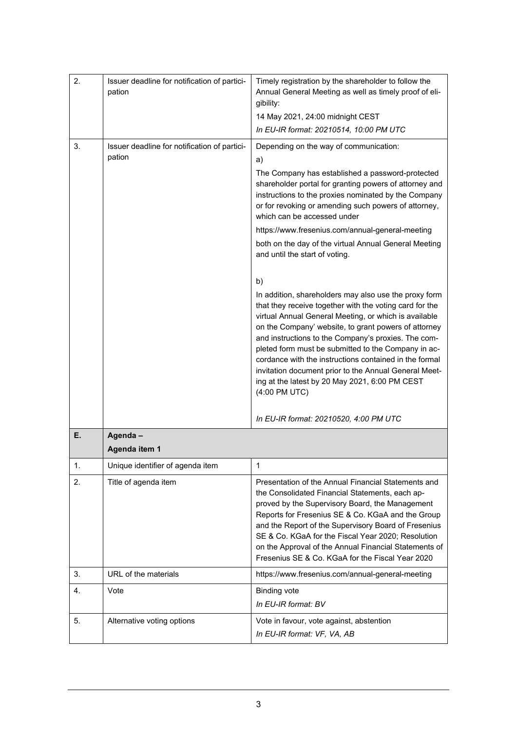| 2. | Issuer deadline for notification of partici-<br>pation | Timely registration by the shareholder to follow the<br>Annual General Meeting as well as timely proof of eli-<br>gibility:                                                                                                                                                                                                                                                                                                                                                                                                                                                           |
|----|--------------------------------------------------------|---------------------------------------------------------------------------------------------------------------------------------------------------------------------------------------------------------------------------------------------------------------------------------------------------------------------------------------------------------------------------------------------------------------------------------------------------------------------------------------------------------------------------------------------------------------------------------------|
|    |                                                        | 14 May 2021, 24:00 midnight CEST                                                                                                                                                                                                                                                                                                                                                                                                                                                                                                                                                      |
|    |                                                        | In EU-IR format: 20210514, 10:00 PM UTC                                                                                                                                                                                                                                                                                                                                                                                                                                                                                                                                               |
| 3. | Issuer deadline for notification of partici-<br>pation | Depending on the way of communication:<br>a)<br>The Company has established a password-protected<br>shareholder portal for granting powers of attorney and<br>instructions to the proxies nominated by the Company<br>or for revoking or amending such powers of attorney,<br>which can be accessed under<br>https://www.fresenius.com/annual-general-meeting                                                                                                                                                                                                                         |
|    |                                                        | both on the day of the virtual Annual General Meeting<br>and until the start of voting.                                                                                                                                                                                                                                                                                                                                                                                                                                                                                               |
|    |                                                        | b)<br>In addition, shareholders may also use the proxy form<br>that they receive together with the voting card for the<br>virtual Annual General Meeting, or which is available<br>on the Company' website, to grant powers of attorney<br>and instructions to the Company's proxies. The com-<br>pleted form must be submitted to the Company in ac-<br>cordance with the instructions contained in the formal<br>invitation document prior to the Annual General Meet-<br>ing at the latest by 20 May 2021, 6:00 PM CEST<br>(4:00 PM UTC)<br>In EU-IR format: 20210520, 4:00 PM UTC |
| Е. | Agenda-                                                |                                                                                                                                                                                                                                                                                                                                                                                                                                                                                                                                                                                       |
|    | Agenda item 1                                          |                                                                                                                                                                                                                                                                                                                                                                                                                                                                                                                                                                                       |
| 1. | Unique identifier of agenda item                       | 1                                                                                                                                                                                                                                                                                                                                                                                                                                                                                                                                                                                     |
| 2. | Title of agenda item                                   | Presentation of the Annual Financial Statements and<br>the Consolidated Financial Statements, each ap-<br>proved by the Supervisory Board, the Management<br>Reports for Fresenius SE & Co. KGaA and the Group<br>and the Report of the Supervisory Board of Fresenius<br>SE & Co. KGaA for the Fiscal Year 2020; Resolution<br>on the Approval of the Annual Financial Statements of<br>Fresenius SE & Co. KGaA for the Fiscal Year 2020                                                                                                                                             |
| 3. | URL of the materials                                   | https://www.fresenius.com/annual-general-meeting                                                                                                                                                                                                                                                                                                                                                                                                                                                                                                                                      |
| 4. | Vote                                                   | <b>Binding vote</b><br>In EU-IR format: BV                                                                                                                                                                                                                                                                                                                                                                                                                                                                                                                                            |
| 5. | Alternative voting options                             | Vote in favour, vote against, abstention<br>In EU-IR format: VF, VA, AB                                                                                                                                                                                                                                                                                                                                                                                                                                                                                                               |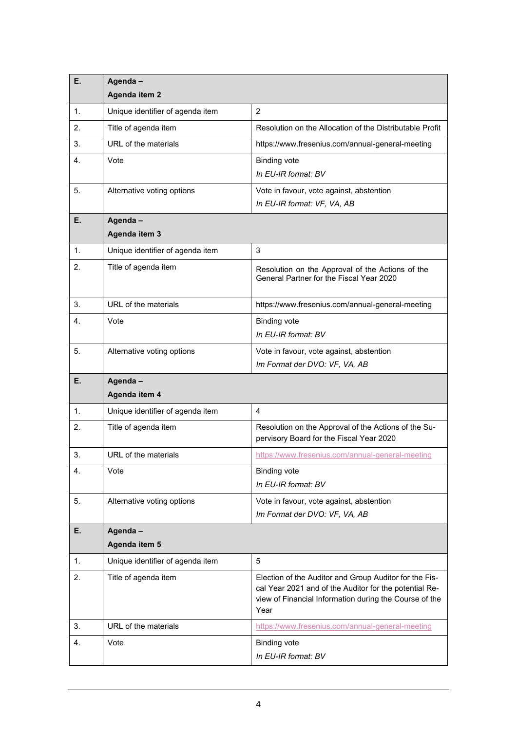| Е. | Agenda-<br>Agenda item 2         |                                                                                                                                                                                    |
|----|----------------------------------|------------------------------------------------------------------------------------------------------------------------------------------------------------------------------------|
| 1. | Unique identifier of agenda item | $\overline{2}$                                                                                                                                                                     |
| 2. | Title of agenda item             | Resolution on the Allocation of the Distributable Profit                                                                                                                           |
| 3. | URL of the materials             | https://www.fresenius.com/annual-general-meeting                                                                                                                                   |
| 4. | Vote                             | <b>Binding vote</b><br>In EU-IR format: BV                                                                                                                                         |
| 5. | Alternative voting options       | Vote in favour, vote against, abstention<br>In EU-IR format: VF, VA, AB                                                                                                            |
| Е. | Agenda-<br>Agenda item 3         |                                                                                                                                                                                    |
| 1. | Unique identifier of agenda item | 3                                                                                                                                                                                  |
| 2. | Title of agenda item             | Resolution on the Approval of the Actions of the<br>General Partner for the Fiscal Year 2020                                                                                       |
| 3. | URL of the materials             | https://www.fresenius.com/annual-general-meeting                                                                                                                                   |
| 4. | Vote                             | <b>Binding vote</b>                                                                                                                                                                |
|    |                                  | In EU-IR format: BV                                                                                                                                                                |
| 5. | Alternative voting options       | Vote in favour, vote against, abstention<br>Im Format der DVO: VF, VA, AB                                                                                                          |
| Е. | Agenda-<br>Agenda item 4         |                                                                                                                                                                                    |
| 1. | Unique identifier of agenda item | 4                                                                                                                                                                                  |
| 2. | Title of agenda item             | Resolution on the Approval of the Actions of the Su-<br>pervisory Board for the Fiscal Year 2020                                                                                   |
| 3. | URL of the materials             | https://www.fresenius.com/annual-general-meeting                                                                                                                                   |
| 4. | Vote                             | <b>Binding vote</b><br>In EU-IR format: BV                                                                                                                                         |
| 5. | Alternative voting options       | Vote in favour, vote against, abstention<br>Im Format der DVO: VF, VA, AB                                                                                                          |
| Е. | Agenda-                          |                                                                                                                                                                                    |
|    | Agenda item 5                    |                                                                                                                                                                                    |
| 1. | Unique identifier of agenda item | 5                                                                                                                                                                                  |
| 2. | Title of agenda item             | Election of the Auditor and Group Auditor for the Fis-<br>cal Year 2021 and of the Auditor for the potential Re-<br>view of Financial Information during the Course of the<br>Year |
| 3. | URL of the materials             | https://www.fresenius.com/annual-general-meeting                                                                                                                                   |
| 4. | Vote                             | <b>Binding vote</b><br>In EU-IR format: BV                                                                                                                                         |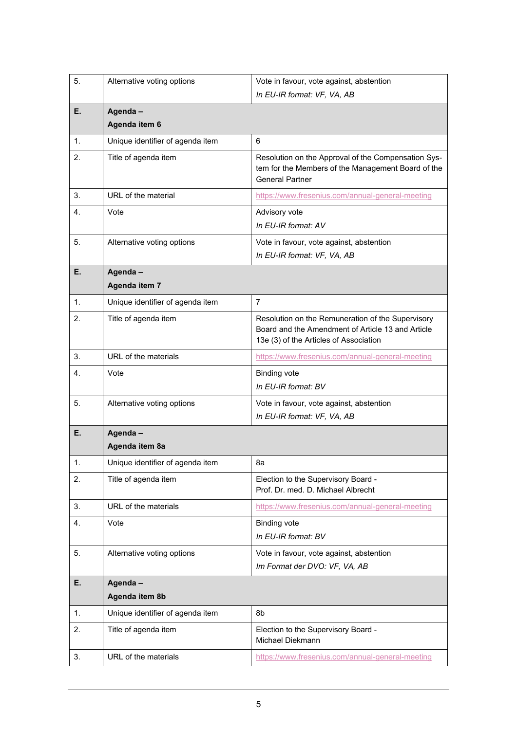| 5. | Alternative voting options       | Vote in favour, vote against, abstention<br>In EU-IR format: VF, VA, AB                                                                          |
|----|----------------------------------|--------------------------------------------------------------------------------------------------------------------------------------------------|
| Е. | Agenda-<br>Agenda item 6         |                                                                                                                                                  |
| 1. | Unique identifier of agenda item | 6                                                                                                                                                |
| 2. | Title of agenda item             | Resolution on the Approval of the Compensation Sys-<br>tem for the Members of the Management Board of the<br><b>General Partner</b>              |
| 3. | URL of the material              | https://www.fresenius.com/annual-general-meeting                                                                                                 |
| 4. | Vote                             | Advisory vote<br>In EU-IR format: AV                                                                                                             |
| 5. | Alternative voting options       | Vote in favour, vote against, abstention<br>In EU-IR format: VF, VA, AB                                                                          |
| Е. | Agenda-<br>Agenda item 7         |                                                                                                                                                  |
| 1. | Unique identifier of agenda item | $\overline{7}$                                                                                                                                   |
| 2. | Title of agenda item             | Resolution on the Remuneration of the Supervisory<br>Board and the Amendment of Article 13 and Article<br>13e (3) of the Articles of Association |
| 3. | URL of the materials             | https://www.fresenius.com/annual-general-meeting                                                                                                 |
| 4. | Vote                             | <b>Binding vote</b><br>In EU-IR format: BV                                                                                                       |
| 5. | Alternative voting options       | Vote in favour, vote against, abstention<br>In EU-IR format: VF, VA, AB                                                                          |
| Е. | Agenda-<br>Agenda item 8a        |                                                                                                                                                  |
| 1. | Unique identifier of agenda item | 8a                                                                                                                                               |
| 2. | Title of agenda item             | Election to the Supervisory Board -<br>Prof. Dr. med. D. Michael Albrecht                                                                        |
| 3. | URL of the materials             | https://www.fresenius.com/annual-general-meeting                                                                                                 |
| 4. | Vote                             | <b>Binding vote</b><br>In EU-IR format: BV                                                                                                       |
| 5. | Alternative voting options       | Vote in favour, vote against, abstention<br>Im Format der DVO: VF, VA, AB                                                                        |
| Е. | Agenda-                          |                                                                                                                                                  |
|    | Agenda item 8b                   |                                                                                                                                                  |
| 1. | Unique identifier of agenda item | 8b                                                                                                                                               |
| 2. | Title of agenda item             | Election to the Supervisory Board -<br>Michael Diekmann                                                                                          |
| 3. | URL of the materials             | https://www.fresenius.com/annual-general-meeting                                                                                                 |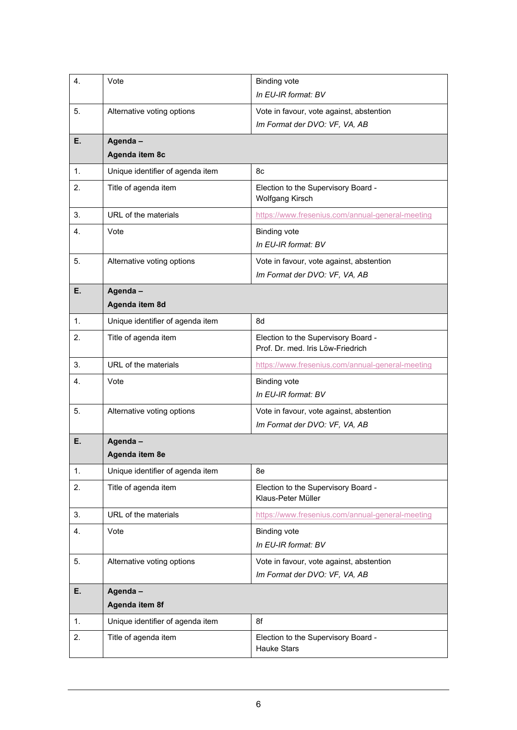| 4. | Vote                             | <b>Binding vote</b><br>In EU-IR format: BV                                |
|----|----------------------------------|---------------------------------------------------------------------------|
|    |                                  |                                                                           |
| 5. | Alternative voting options       | Vote in favour, vote against, abstention<br>Im Format der DVO: VF, VA, AB |
| Е. | Agenda-                          |                                                                           |
|    | Agenda item 8c                   |                                                                           |
| 1. | Unique identifier of agenda item | 8c                                                                        |
| 2. | Title of agenda item             | Election to the Supervisory Board -<br><b>Wolfgang Kirsch</b>             |
| 3. | URL of the materials             | https://www.fresenius.com/annual-general-meeting                          |
| 4. | Vote                             | <b>Binding vote</b><br>In EU-IR format: BV                                |
| 5. | Alternative voting options       | Vote in favour, vote against, abstention<br>Im Format der DVO: VF, VA, AB |
| Е. | Agenda-                          |                                                                           |
|    | Agenda item 8d                   |                                                                           |
| 1. | Unique identifier of agenda item | 8d                                                                        |
| 2. | Title of agenda item             | Election to the Supervisory Board -<br>Prof. Dr. med. Iris Löw-Friedrich  |
| 3. | URL of the materials             | https://www.fresenius.com/annual-general-meeting                          |
| 4. | Vote                             | <b>Binding vote</b><br>In EU-IR format: BV                                |
| 5. | Alternative voting options       | Vote in favour, vote against, abstention<br>Im Format der DVO: VF, VA, AB |
| Е. | Agenda-                          |                                                                           |
|    | Agenda item 8e                   |                                                                           |
| 1. | Unique identifier of agenda item | 8e                                                                        |
| 2. | Title of agenda item             | Election to the Supervisory Board -<br>Klaus-Peter Müller                 |
| 3. | URL of the materials             | https://www.fresenius.com/annual-general-meeting                          |
| 4. | Vote                             | <b>Binding vote</b><br>In EU-IR format: BV                                |
| 5. | Alternative voting options       | Vote in favour, vote against, abstention<br>Im Format der DVO: VF, VA, AB |
| Е. | Agenda-<br>Agenda item 8f        |                                                                           |
| 1. | Unique identifier of agenda item | 8f                                                                        |
| 2. | Title of agenda item             | Election to the Supervisory Board -<br><b>Hauke Stars</b>                 |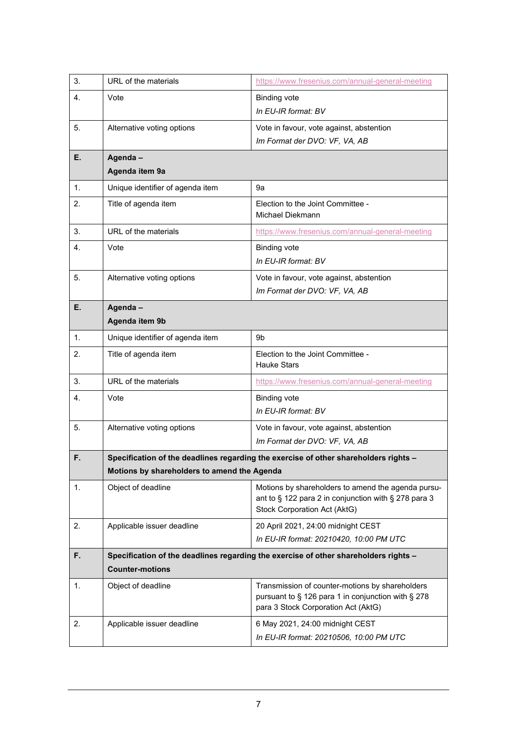| 3. | URL of the materials                        | https://www.fresenius.com/annual-general-meeting                                                                                                  |
|----|---------------------------------------------|---------------------------------------------------------------------------------------------------------------------------------------------------|
| 4. | Vote                                        | <b>Binding vote</b>                                                                                                                               |
|    |                                             | In EU-IR format: BV                                                                                                                               |
| 5. | Alternative voting options                  | Vote in favour, vote against, abstention                                                                                                          |
|    |                                             | Im Format der DVO: VF, VA, AB                                                                                                                     |
| Е. | Agenda-                                     |                                                                                                                                                   |
|    | Agenda item 9a                              |                                                                                                                                                   |
| 1. | Unique identifier of agenda item            | 9а                                                                                                                                                |
| 2. | Title of agenda item                        | Election to the Joint Committee -<br>Michael Diekmann                                                                                             |
| 3. | URL of the materials                        | https://www.fresenius.com/annual-general-meeting                                                                                                  |
| 4. | Vote                                        | <b>Binding vote</b>                                                                                                                               |
|    |                                             | In EU-IR format: BV                                                                                                                               |
| 5. | Alternative voting options                  | Vote in favour, vote against, abstention                                                                                                          |
|    |                                             | Im Format der DVO: VF, VA, AB                                                                                                                     |
| Е. | Agenda-                                     |                                                                                                                                                   |
|    | Agenda item 9b                              |                                                                                                                                                   |
| 1. | Unique identifier of agenda item            | 9b                                                                                                                                                |
| 2. | Title of agenda item                        | Election to the Joint Committee -<br><b>Hauke Stars</b>                                                                                           |
| 3. | URL of the materials                        | https://www.fresenius.com/annual-general-meeting                                                                                                  |
| 4. | Vote                                        | <b>Binding vote</b>                                                                                                                               |
|    |                                             | In EU-IR format: BV                                                                                                                               |
| 5. | Alternative voting options                  | Vote in favour, vote against, abstention                                                                                                          |
|    |                                             | Im Format der DVO: VF, VA, AB                                                                                                                     |
| F. |                                             | Specification of the deadlines regarding the exercise of other shareholders rights -                                                              |
|    | Motions by shareholders to amend the Agenda |                                                                                                                                                   |
| 1. | Object of deadline                          | Motions by shareholders to amend the agenda pursu-<br>ant to § 122 para 2 in conjunction with § 278 para 3<br><b>Stock Corporation Act (AktG)</b> |
| 2. | Applicable issuer deadline                  | 20 April 2021, 24:00 midnight CEST                                                                                                                |
|    |                                             | In EU-IR format: 20210420, 10:00 PM UTC                                                                                                           |
| F. |                                             | Specification of the deadlines regarding the exercise of other shareholders rights -                                                              |
|    | <b>Counter-motions</b>                      |                                                                                                                                                   |
| 1. | Object of deadline                          | Transmission of counter-motions by shareholders<br>pursuant to § 126 para 1 in conjunction with § 278<br>para 3 Stock Corporation Act (AktG)      |
| 2. | Applicable issuer deadline                  | 6 May 2021, 24:00 midnight CEST                                                                                                                   |
|    |                                             | In EU-IR format: 20210506, 10:00 PM UTC                                                                                                           |